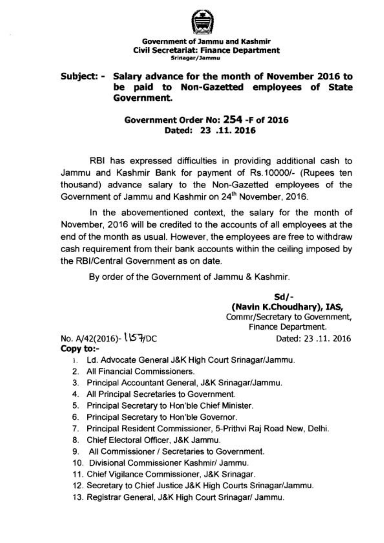

## **Government of Jammu and Kashmir Civil Secretariat: Finance Department Srinagar/Jammu**

## **Subject:** - **Salary advance for the month of November 2016 to be paid to Non-Gazetted employees of State Government.**

## **Government Order No: 254 -F of 2016 Dated: 23 .ll. 2016**

RBI has expressed difficulties in providing additional cash to Jammu and Kashmir Bank for payment of Rs.10000/- (Rupees ten thousand) advance salary to the Non-Gazetted employees of the Government of Jammu and Kashmir on 24<sup>th</sup> November, 2016.

In the abovementioned context, the salary for the month of November, 2016 will be credited to the accounts of all employees at the end of the month as usual. However, the employees are free to withdraw cash requirement from their bank accounts within the ceiling imposed by the RBI/Central Government as on date.

By order of the Government of Jammu & Kashmir.

**Sd/- (Navin K.Choudhary), IAS,**  Commr/Secretary to Government, Finance Department.

No. A/42(2016)- USHOC Dated: 23 .11. 2016 **Copy t0:-** 

- 1. Ld. Advocate General J&K High Court Srinagar/Jammu.
- 2. All Financial Commissioners.
- 3. Principal Accountant General, J&K Srinagar/Jammu.
- **4.** All Principal Secretaries to Government.
- 5. Principal Secretary to Hon'ble Chief Minister.
- 6. Principal Secretary to Hon'ble Governor.
- 7. Principal Resident Commissioner, 5-Prithvi Raj Road New, Delhi.
- 8. Chief Electoral Officer, J&K Jammu.
- 9. All Commissioner / Secretaries to Government.
- 10. Divisional Commissioner Kashmir/ Jammu.
- 11. Chief Vigilance Commissioner, J&K Srinagar.
- 12. Secretary to Chief Justice J&K High Courts Srinagar/Jammu.
- 13. Registrar General, J&K High Court Srinagar/ Jammu.